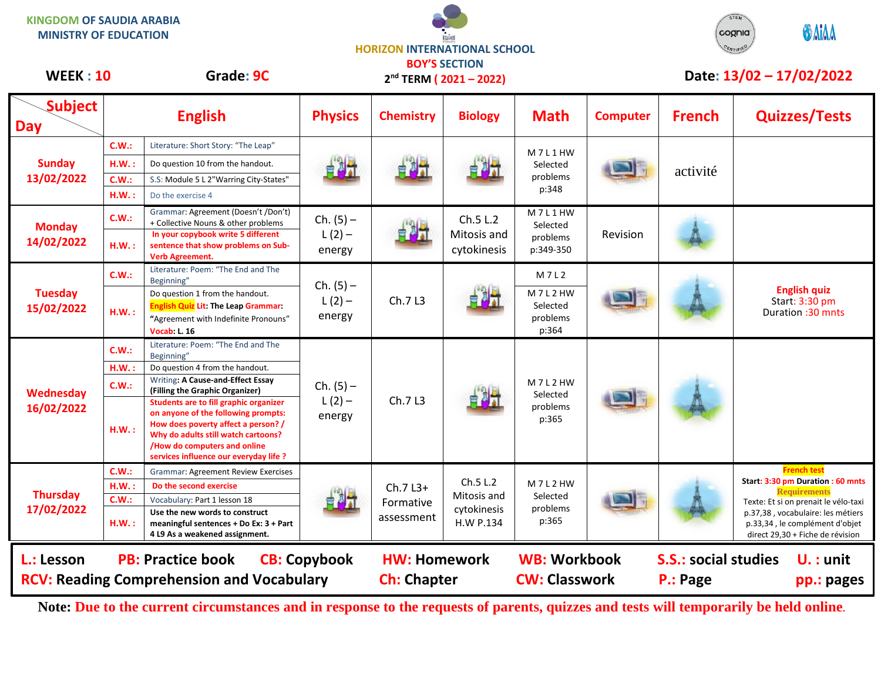**KINGDOM OF SAUDIA ARABIA MINISTRY OF EDUCATION**

**HORIZON INTERNATIONAL SCHOOL BOY'S SECTION**



## **Subject Day English Physics Chemistry Biology Math Computer French Quizzes/Tests Sunday 13/02/2022 C.W.:** Literature: Short Story: "The Leap" M 7 L 1 HW Selected problems p:348 H.W. : Do question 10 from the handout.<br>C.W. : C. Markels L. 2<sup>00</sup> Markels City Chase " **Handout.** The selected problems activité **C.W.:** S.S: Module 5 L 2"Warring City-States" **H.W. :** Do the exercise 4 **Monday 14/02/2022 C.W.:** Grammar: Agreement (Doesn't /Don't) + Collective Nouns & other problems **Ch. (5) –**  $L(2)$ energy Ch.5 L.2 Mitosis and cytokinesis M 7 L 1 HW Selected problems p:349-350 Revision **H.W. : In your copybook write 5 different sentence that show problems on Sub-Verb Agreement. Tuesday 15/02/2022 C.W.:** Literature: Poem: "The End and The Beginning" Beginning" 
Beginning  $\begin{array}{c|c}\n\hline\n\text{Definition 1 from the handout.} & \text{Ch. (5)}\n\hline\n\end{array}$  $L(2)$ energy Ch.7 L3 M 7 L 2 **English quiz** Start: 3:30 pm<br>Duration :30 mnts **H.W. :**  $\frac{1}{2}$  **Duration :30 mnts** Duration :30 mnts **English Quiz Lit: The Leap Grammar: "**Agreement with Indefinite Pronouns" **Vocab: L. 16 M 7 L 2 HW** Selected problems p:364 **Wednesday 16/02/2022 C.W.:** Literature: Poem: "The End and The Beginning"  $Ch. (5) L(2)$ energy Ch.7 L3 **M 7 L 2 HW** Selected problems p:365 H.W. : Do question 4 from the handout. **C.W.:** Writing**: A Cause-and-Effect Essay (Filling the Graphic Organizer) H.W. : Students are to fill graphic organizer on anyone of the following prompts: How does poverty affect a person? / Why do adults still watch cartoons? /How do computers and online services influence our everyday life ? Thursday 17/02/2022 C.W.:** Grammar: Agreement Review Exercises Ch.7 L3+ Formative assessment Ch.5 L.2 Mitosis and cytokinesis H.W P.134 M 7 L 2 HW Selected problems p:365 **French test Start: 3:30 pm Duration : 60 mnts Requirements** Texte: Et si on prenait le vélo-taxi p.37,38 , vocabulaire: les métiers p.33,34 , le complément d'objet direct 29,30 + Fiche de révision **H.W. : Do the second exercise C.W.:** Vocabulary: Part 1 lesson 18 **H.W. : Use the new words to construct meaningful sentences + Do Ex: 3 + Part 4 L9 As a weakened assignment.**  WEEK : 10 Grade: 9C 2<sup>nd</sup> TFRM (2021 - 2022) Date: 13/02 - 17/02/2022 **L.: Lesson PB: Practice book CB: Copybook HW: Homework WB: Workbook S.S.: social studies U. : unit RCV: Reading Comprehension and Vocabulary and Ch: Chapter CW: Classwork P.: Page pp.: pages 2 nd TERM ( 2021 – 2022)**

**Note: Due to the current circumstances and in response to the requests of parents, quizzes and tests will temporarily be held online.**